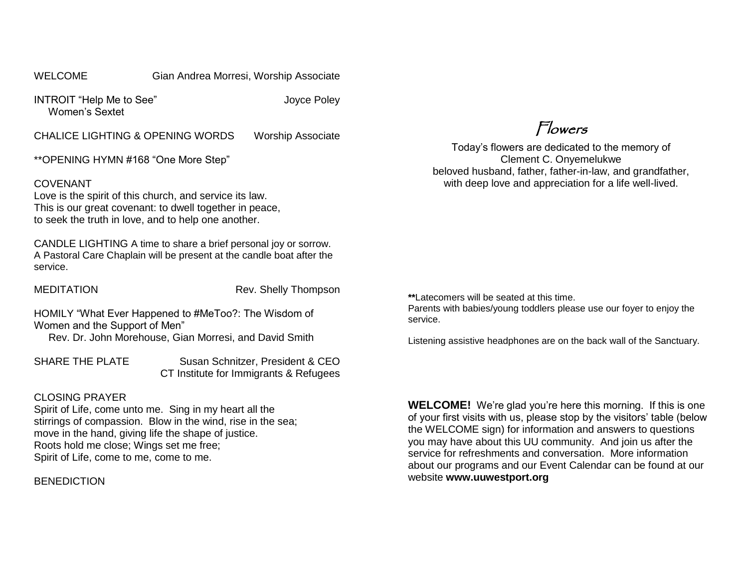#### WELCOME **Gian Andrea Morresi, Worship Associate**

INTROIT "Help Me to See" Joyce Poley Women's Sextet

CHALICE LIGHTING & OPENING WORDS Worship Associate

\*\*OPENING HYMN #168 "One More Step"

#### COVENANT

Love is the spirit of this church, and service its law. This is our great covenant: to dwell together in peace, to seek the truth in love, and to help one another.

CANDLE LIGHTING A time to share a brief personal joy or sorrow. A Pastoral Care Chaplain will be present at the candle boat after the service.

MEDITATION Rev. Shelly Thompson

HOMILY "What Ever Happened to #MeToo?: The Wisdom of Women and the Support of Men"

Rev. Dr. John Morehouse, Gian Morresi, and David Smith

SHARE THE PLATE Susan Schnitzer, President & CEO CT Institute for Immigrants & Refugees

#### CLOSING PRAYER

Spirit of Life, come unto me. Sing in my heart all the stirrings of compassion. Blow in the wind, rise in the sea; move in the hand, giving life the shape of justice. Roots hold me close; Wings set me free; Spirit of Life, come to me, come to me.

**BENEDICTION** 

Flowers

Today's flowers are dedicated to the memory of Clement C. Onyemelukwe beloved husband, father, father-in-law, and grandfather, with deep love and appreciation for a life well-lived.

**\*\***Latecomers will be seated at this time.

Parents with babies/young toddlers please use our foyer to enjoy the service.

Listening assistive headphones are on the back wall of the Sanctuary.

**WELCOME!** We're glad you're here this morning. If this is one of your first visits with us, please stop by the visitors' table (below the WELCOME sign) for information and answers to questions you may have about this UU community. And join us after the service for refreshments and conversation. More information about our programs and our Event Calendar can be found at our website **[www.uuwestport.org](http://www.uuwestport.org/)**